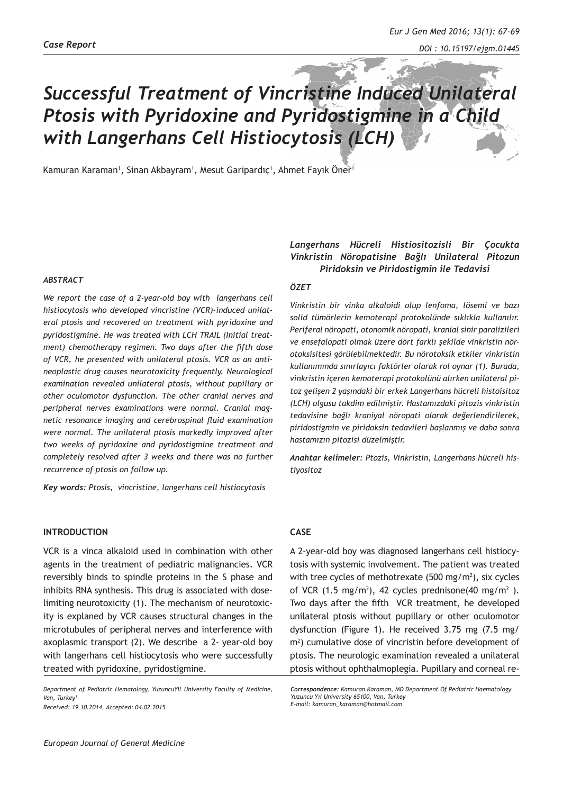# *Successful Treatment of Vincristine Induced Unilateral Ptosis with Pyridoxine and Pyridostigmine in a Child with Langerhans Cell Histiocytosis (LCH)*

Kamuran Karaman<sup>1</sup>, Sinan Akbayram<sup>1</sup>, Mesut Garipardıç<sup>1</sup>, Ahmet Fayık Öner<sup>1</sup>

#### *ABSTRACT*

*We report the case of a 2-year-old boy with langerhans cell histiocytosis who developed vincristine (VCR)-induced unilateral ptosis and recovered on treatment with pyridoxine and pyridostigmine. He was treated with LCH TRAIL (Initial treatment) chemotherapy regimen. Two days after the fifth dose of VCR, he presented with unilateral ptosis. VCR as an antineoplastic drug causes neurotoxicity frequently. Neurological examination revealed unilateral ptosis, without pupillary or other oculomotor dysfunction. The other cranial nerves and peripheral nerves examinations were normal. Cranial magnetic resonance imaging and cerebrospinal fluid examination were normal. The unilateral ptosis markedly improved after two weeks of pyridoxine and pyridostigmine treatment and completely resolved after 3 weeks and there was no further recurrence of ptosis on follow up.*

*Key words: Ptosis, vincristine, langerhans cell histiocytosis*

## **INTRODUCTION**

VCR is a vinca alkaloid used in combination with other agents in the treatment of pediatric malignancies. VCR reversibly binds to spindle proteins in the S phase and inhibits RNA synthesis. This drug is associated with doselimiting neurotoxicity (1). The mechanism of neurotoxicity is explaned by VCR causes structural changes in the microtubules of peripheral nerves and interference with axoplasmic transport (2). We describe a 2- year-old boy with langerhans cell histiocytosis who were successfully treated with pyridoxine, pyridostigmine.

*Department of Pediatric Hematology, YuzuncuYil University Faculty of Medicine,*  **Van, Turkey** *Received: 19.10.2014, Accepted: 04.02.2015*

## *Vinkristin Nöropatisine Bağlı Unilateral Pitozun Piridoksin ve Piridostigmin ile Tedavisi ÖZET*

*Langerhans Hücreli Histiositozisli Bir Çocukta* 

*Vinkristin bir vinka alkaloidi olup lenfoma, lösemi ve bazı solid tümörlerin kemoterapi protokolünde sıklıkla kullanılır. Periferal nöropati, otonomik nöropati, kranial sinir paralizileri ve ensefalopati olmak üzere dört farklı şekilde vinkristin nörotoksisitesi görülebilmektedir. Bu nörotoksik etkiler vinkristin kullanımında sınırlayıcı faktörler olarak rol oynar (1). Burada, vinkristin içeren kemoterapi protokolünü alırken unilateral pitoz gelişen 2 yaşındaki bir erkek Langerhans hücreli histoisitoz (LCH) olgusu takdim edilmiştir. Hastamızdaki pitozis vinkristin tedavisine bağlı kraniyal nöropati olarak değerlendirilerek, piridostigmin ve piridoksin tedavileri başlanmış ve daha sonra hastamızın pitozisi düzelmiştir.* 

*Anahtar kelimeler: Ptozis, Vinkristin, Langerhans hücreli histiyositoz*

## **CASE**

A 2-year-old boy was diagnosed langerhans cell histiocytosis with systemic involvement. The patient was treated with tree cycles of methotrexate (500 mg/m2 ), six cycles of VCR  $(1.5 \text{ mg/m}^2)$ , 42 cycles prednisone $(40 \text{ mg/m}^2)$ . Two days after the fifth VCR treatment, he developed unilateral ptosis without pupillary or other oculomotor dysfunction (Figure 1). He received 3.75 mg (7.5 mg/ m2 ) cumulative dose of vincristin before development of ptosis. The neurologic examination revealed a unilateral ptosis without ophthalmoplegia. Pupillary and corneal re-

*Correspondence: Kamuran Karaman, MD Department Of Pediatric Haematology Yuzuncu Yıl University 65100, Van, Turkey E-mail: kamuran\_karaman@hotmail.com*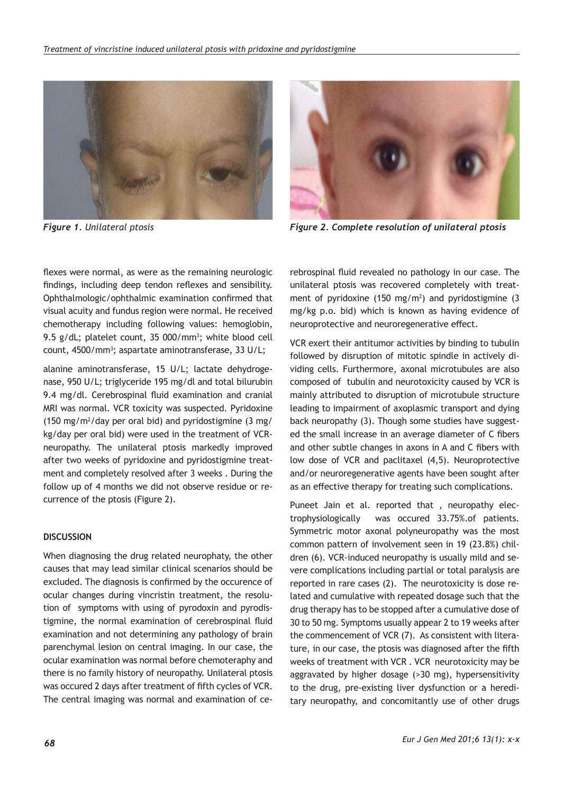



*Figure 1. Unilateral ptosis Figure 2. Complete resolution of unilateral ptosis*

flexes were normal, as were as the remaining neurologic findings, including deep tendon reflexes and sensibility. Ophthalmologic/ophthalmic examination confirmed that visual acuity and fundus region were normal. He received chemotherapy including following values: hemoglobin, 9.5 g/dL; platelet count, 35 000/mm<sup>3</sup>; white blood cell count, 4500/mm3 ; aspartate aminotransferase, 33 U/L;

alanine aminotransferase, 15 U/L; lactate dehydrogenase, 950 U/L; triglyceride 195 mg/dl and total bilurubin 9.4 mg/dl. Cerebrospinal fluid examination and cranial MRI was normal. VCR toxicity was suspected. Pyridoxine  $(150 \text{ mg/m}^2/\text{day} \text{ per oral bid})$  and pyridostigmine  $(3 \text{ mg/m}^2/\text{day} \text{ per oral b})$ kg/day per oral bid) were used in the treatment of VCRneuropathy. The unilateral ptosis markedly improved after two weeks of pyridoxine and pyridostigmine treatment and completely resolved after 3 weeks . During the follow up of 4 months we did not observe residue or recurrence of the ptosis (Figure 2).

## **DISCUSSION**

When diagnosing the drug related neurophaty, the other causes that may lead similar clinical scenarios should be excluded. The diagnosis is confirmed by the occurence of ocular changes during vincristin treatment, the resolution of symptoms with using of pyrodoxin and pyrodistigmine, the normal examination of cerebrospinal fluid examination and not determining any pathology of brain parenchymal lesion on central imaging. In our case, the ocular examination was normal before chemoteraphy and there is no family history of neuropathy. Unilateral ptosis was occured 2 days after treatment of fifth cycles of VCR. The central imaging was normal and examination of cerebrospinal fluid revealed no pathology in our case. The unilateral ptosis was recovered completely with treatment of pyridoxine (150 mg/m<sup>2</sup>) and pyridostigmine (3 mg/kg p.o. bid) which is known as having evidence of neuroprotective and neuroregenerative effect.

VCR exert their antitumor activities by binding to tubulin followed by disruption of mitotic spindle in actively dividing cells. Furthermore, axonal microtubules are also composed of tubulin and neurotoxicity caused by VCR is mainly attributed to disruption of microtubule structure leading to impairment of axoplasmic transport and dying back neuropathy (3). Though some studies have suggested the small increase in an average diameter of C fibers and other subtle changes in axons in A and C fibers with low dose of VCR and paclitaxel (4,5). Neuroprotective and/or neuroregenerative agents have been sought after as an effective therapy for treating such complications.

Puneet Jain et al. reported that , neuropathy electrophysiologically was occured 33.75%.of patients. Symmetric motor axonal polyneuropathy was the most common pattern of involvement seen in 19 (23.8%) children (6). VCR-induced neuropathy is usually mild and severe complications including partial or total paralysis are reported in rare cases (2). The neurotoxicity is dose related and cumulative with repeated dosage such that the drug therapy has to be stopped after a cumulative dose of 30 to 50 mg. Symptoms usually appear 2 to 19 weeks after the commencement of VCR (7). As consistent with literature, in our case, the ptosis was diagnosed after the fifth weeks of treatment with VCR . VCR neurotoxicity may be aggravated by higher dosage (>30 mg), hypersensitivity to the drug, pre-existing liver dysfunction or a hereditary neuropathy, and concomitantly use of other drugs